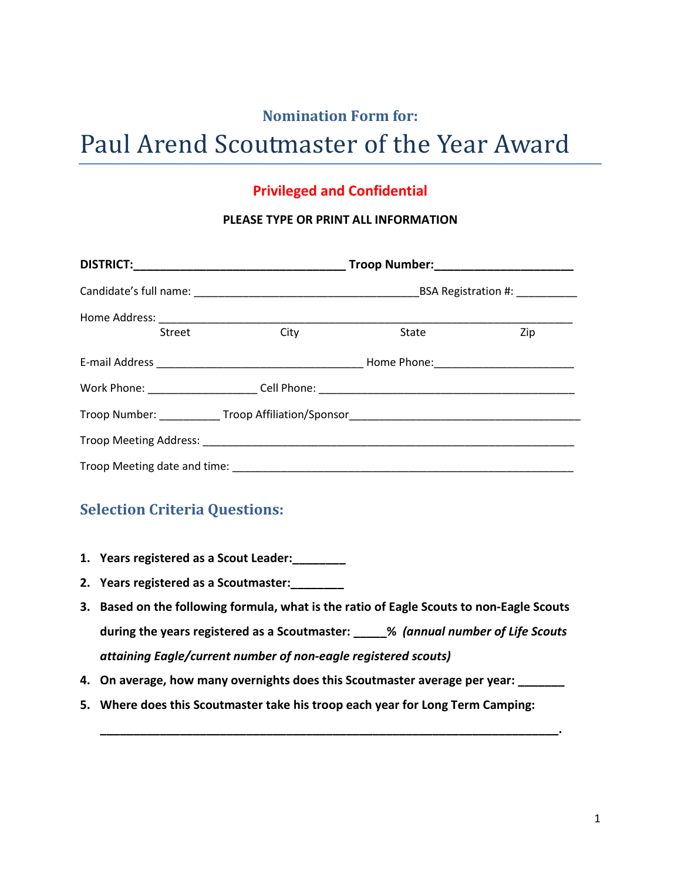## **Nomination Form for:**

# Paul Arend Scoutmaster of the Year Award

### **Privileged and Confidential**

#### **PLEASE TYPE OR PRINT ALL INFORMATION**

| Street | City                                                                              | State | Zip |  |
|--------|-----------------------------------------------------------------------------------|-------|-----|--|
|        |                                                                                   |       |     |  |
|        |                                                                                   |       |     |  |
|        | Troop Number: _____________Troop Affiliation/Sponsor_____________________________ |       |     |  |
|        |                                                                                   |       |     |  |
|        |                                                                                   |       |     |  |

## **Selection Criteria Questions:**

- **1. Years registered as a Scout Leader:\_\_\_\_\_\_\_\_**
- **2. Years registered as a Scoutmaster:\_\_\_\_\_\_\_\_**
- **3. Based on the following formula, what is the ratio of Eagle Scouts to non-Eagle Scouts during the years registered as a Scoutmaster: \_\_\_\_\_%** *(annual number of Life Scouts attaining Eagle/current number of non-eagle registered scouts)*
- **4. On average, how many overnights does this Scoutmaster average per year: \_\_\_\_\_\_\_**

**\_\_\_\_\_\_\_\_\_\_\_\_\_\_\_\_\_\_\_\_\_\_\_\_\_\_\_\_\_\_\_\_\_\_\_\_\_\_\_\_\_\_\_\_\_\_\_\_\_\_\_\_\_\_\_\_\_\_\_\_\_\_\_\_\_\_\_\_\_.**

**5. Where does this Scoutmaster take his troop each year for Long Term Camping:**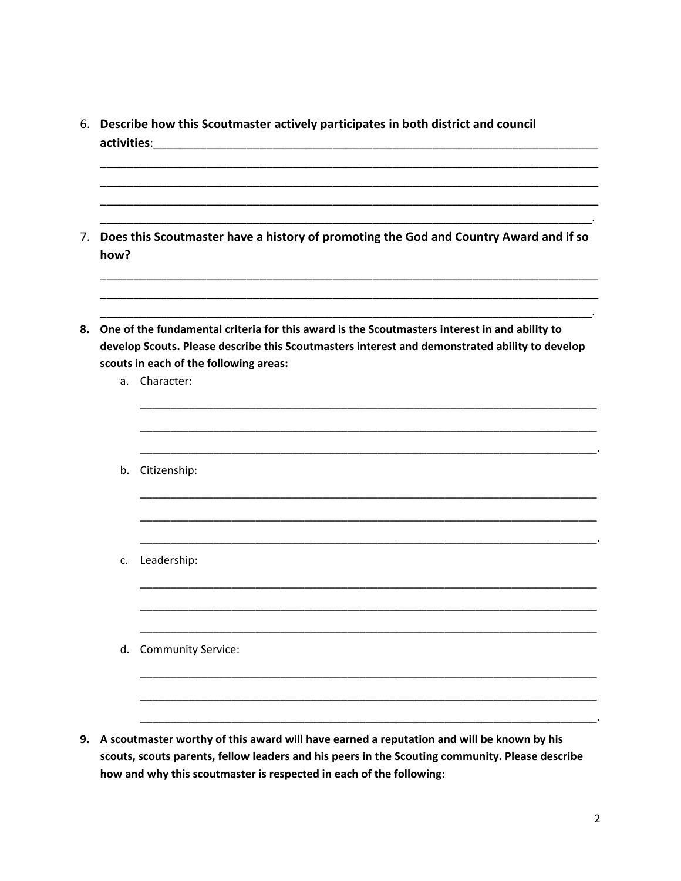- 6. Describe how this Scoutmaster actively participates in both district and council
- 7. Does this Scoutmaster have a history of promoting the God and Country Award and if so how?
- 8. One of the fundamental criteria for this award is the Scoutmasters interest in and ability to develop Scouts. Please describe this Scoutmasters interest and demonstrated ability to develop scouts in each of the following areas:
	- a. Character:
	- b. Citizenship: c. Leadership: d. Community Service:
- 9. A scoutmaster worthy of this award will have earned a reputation and will be known by his scouts, scouts parents, fellow leaders and his peers in the Scouting community. Please describe how and why this scoutmaster is respected in each of the following:

 $\ddot{\phantom{a}}$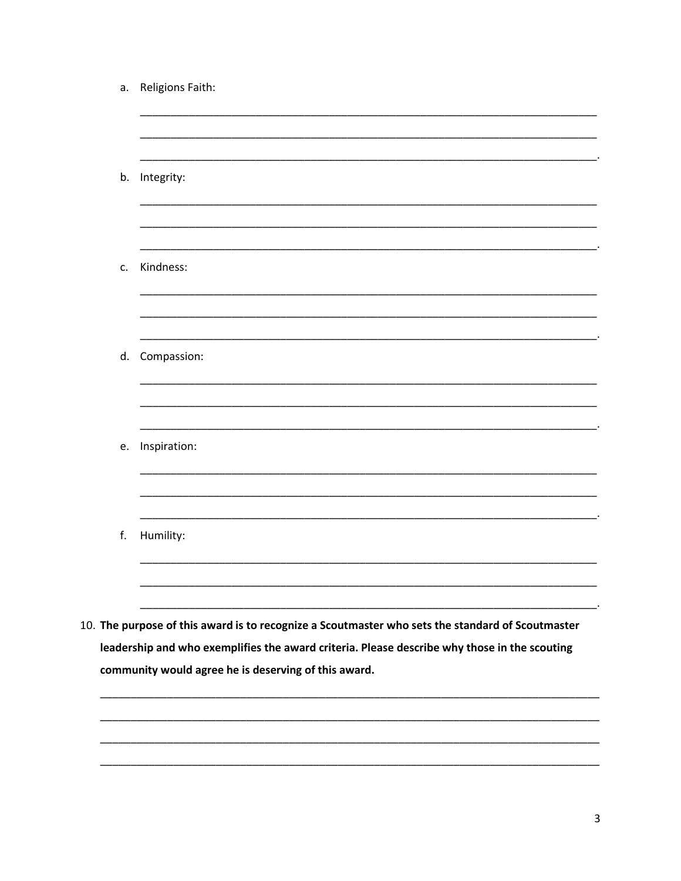| а. | Religions Faith:                                                                                                                                                                                 |
|----|--------------------------------------------------------------------------------------------------------------------------------------------------------------------------------------------------|
|    |                                                                                                                                                                                                  |
|    | b. Integrity:                                                                                                                                                                                    |
| c. | Kindness:                                                                                                                                                                                        |
|    | d. Compassion:                                                                                                                                                                                   |
| e. | Inspiration:                                                                                                                                                                                     |
| f. | Humility:                                                                                                                                                                                        |
|    | 10. The purpose of this award is to recognize a Scoutmaster who sets the standard of Scoutmaster<br>leadership and who exemplifies the award criteria. Please describe why those in the scouting |
|    | community would agree he is deserving of this award.                                                                                                                                             |

 $\overline{\mathbf{3}}$